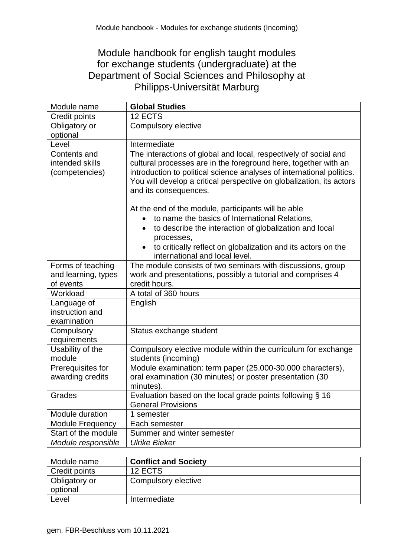## Module handbook for english taught modules for exchange students (undergraduate) at the Department of Social Sciences and Philosophy at Philipps-Universität Marburg

| Module name             | <b>Global Studies</b>                                                                                                                         |
|-------------------------|-----------------------------------------------------------------------------------------------------------------------------------------------|
| Credit points           | 12 ECTS                                                                                                                                       |
| Obligatory or           | Compulsory elective                                                                                                                           |
| optional                |                                                                                                                                               |
| Level                   | Intermediate                                                                                                                                  |
| Contents and            | The interactions of global and local, respectively of social and                                                                              |
| intended skills         | cultural processes are in the foreground here, together with an                                                                               |
| (competencies)          | introduction to political science analyses of international politics.<br>You will develop a critical perspective on globalization, its actors |
|                         | and its consequences.                                                                                                                         |
|                         | At the end of the module, participants will be able                                                                                           |
|                         | to name the basics of International Relations,                                                                                                |
|                         | to describe the interaction of globalization and local<br>$\bullet$<br>processes,                                                             |
|                         | to critically reflect on globalization and its actors on the                                                                                  |
|                         | international and local level.                                                                                                                |
| Forms of teaching       | The module consists of two seminars with discussions, group                                                                                   |
| and learning, types     | work and presentations, possibly a tutorial and comprises 4                                                                                   |
| of events               | credit hours.                                                                                                                                 |
| Workload                | A total of 360 hours                                                                                                                          |
| Language of             | English                                                                                                                                       |
| instruction and         |                                                                                                                                               |
| examination             |                                                                                                                                               |
| Compulsory              | Status exchange student                                                                                                                       |
| requirements            |                                                                                                                                               |
| Usability of the        | Compulsory elective module within the curriculum for exchange                                                                                 |
| module                  | students (incoming)                                                                                                                           |
| Prerequisites for       | Module examination: term paper (25.000-30.000 characters),                                                                                    |
| awarding credits        | oral examination (30 minutes) or poster presentation (30                                                                                      |
|                         | minutes).                                                                                                                                     |
| Grades                  | Evaluation based on the local grade points following § 16                                                                                     |
|                         | <b>General Provisions</b>                                                                                                                     |
| Module duration         | 1 semester                                                                                                                                    |
| <b>Module Frequency</b> | Each semester                                                                                                                                 |
| Start of the module     | Summer and winter semester                                                                                                                    |
| Module responsible      | <b>Ulrike Bieker</b>                                                                                                                          |

| Module name                      | <b>Conflict and Society</b> |
|----------------------------------|-----------------------------|
| Credit points                    | 12 ECTS                     |
| <b>Obligatory or</b><br>optional | Compulsory elective         |
| Level                            | Intermediate                |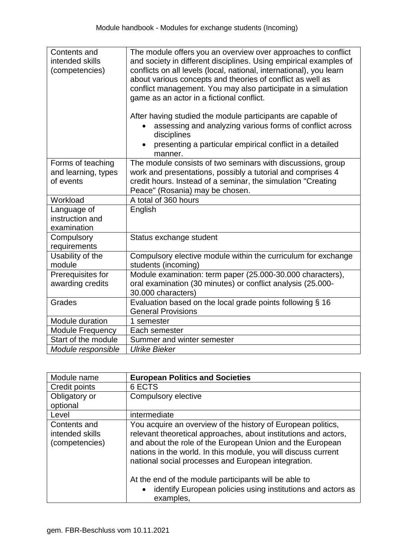| Contents and<br>intended skills<br>(competencies)     | The module offers you an overview over approaches to conflict<br>and society in different disciplines. Using empirical examples of<br>conflicts on all levels (local, national, international), you learn<br>about various concepts and theories of conflict as well as<br>conflict management. You may also participate in a simulation<br>game as an actor in a fictional conflict.<br>After having studied the module participants are capable of<br>assessing and analyzing various forms of conflict across<br>disciplines |
|-------------------------------------------------------|---------------------------------------------------------------------------------------------------------------------------------------------------------------------------------------------------------------------------------------------------------------------------------------------------------------------------------------------------------------------------------------------------------------------------------------------------------------------------------------------------------------------------------|
|                                                       | presenting a particular empirical conflict in a detailed<br>manner.                                                                                                                                                                                                                                                                                                                                                                                                                                                             |
| Forms of teaching<br>and learning, types<br>of events | The module consists of two seminars with discussions, group<br>work and presentations, possibly a tutorial and comprises 4<br>credit hours. Instead of a seminar, the simulation "Creating<br>Peace" (Rosania) may be chosen.                                                                                                                                                                                                                                                                                                   |
| Workload                                              | A total of 360 hours                                                                                                                                                                                                                                                                                                                                                                                                                                                                                                            |
| Language of<br>instruction and<br>examination         | English                                                                                                                                                                                                                                                                                                                                                                                                                                                                                                                         |
| Compulsory<br>requirements                            | Status exchange student                                                                                                                                                                                                                                                                                                                                                                                                                                                                                                         |
| Usability of the<br>module                            | Compulsory elective module within the curriculum for exchange<br>students (incoming)                                                                                                                                                                                                                                                                                                                                                                                                                                            |
| Prerequisites for<br>awarding credits                 | Module examination: term paper (25.000-30.000 characters),<br>oral examination (30 minutes) or conflict analysis (25.000-<br>30.000 characters)                                                                                                                                                                                                                                                                                                                                                                                 |
| Grades                                                | Evaluation based on the local grade points following § 16<br><b>General Provisions</b>                                                                                                                                                                                                                                                                                                                                                                                                                                          |
| Module duration                                       | 1 semester                                                                                                                                                                                                                                                                                                                                                                                                                                                                                                                      |
| Module Frequency                                      | Each semester                                                                                                                                                                                                                                                                                                                                                                                                                                                                                                                   |
| Start of the module                                   | Summer and winter semester                                                                                                                                                                                                                                                                                                                                                                                                                                                                                                      |
| Module responsible                                    | <b>Ulrike Bieker</b>                                                                                                                                                                                                                                                                                                                                                                                                                                                                                                            |

| Module name                                       | <b>European Politics and Societies</b>                                                                                                                                                                                                                                                                                                                                         |
|---------------------------------------------------|--------------------------------------------------------------------------------------------------------------------------------------------------------------------------------------------------------------------------------------------------------------------------------------------------------------------------------------------------------------------------------|
| Credit points                                     | 6 ECTS                                                                                                                                                                                                                                                                                                                                                                         |
| Obligatory or<br>optional                         | Compulsory elective                                                                                                                                                                                                                                                                                                                                                            |
| Level                                             | intermediate                                                                                                                                                                                                                                                                                                                                                                   |
| Contents and<br>intended skills<br>(competencies) | You acquire an overview of the history of European politics,<br>relevant theoretical approaches, about institutions and actors,<br>and about the role of the European Union and the European<br>nations in the world. In this module, you will discuss current<br>national social processes and European integration.<br>At the end of the module participants will be able to |
|                                                   | identify European policies using institutions and actors as<br>examples.                                                                                                                                                                                                                                                                                                       |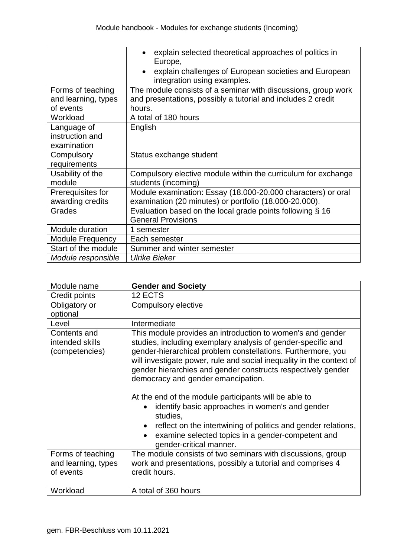|                         | explain selected theoretical approaches of politics in<br>Europe,                    |
|-------------------------|--------------------------------------------------------------------------------------|
|                         | explain challenges of European societies and European<br>integration using examples. |
| Forms of teaching       | The module consists of a seminar with discussions, group work                        |
| and learning, types     | and presentations, possibly a tutorial and includes 2 credit                         |
| of events               | hours.                                                                               |
| Workload                | A total of 180 hours                                                                 |
| Language of             | English                                                                              |
| instruction and         |                                                                                      |
| examination             |                                                                                      |
| Compulsory              | Status exchange student                                                              |
| requirements            |                                                                                      |
| Usability of the        | Compulsory elective module within the curriculum for exchange                        |
| module                  | students (incoming)                                                                  |
| Prerequisites for       | Module examination: Essay (18.000-20.000 characters) or oral                         |
| awarding credits        | examination (20 minutes) or portfolio (18.000-20.000).                               |
| Grades                  | Evaluation based on the local grade points following § 16                            |
|                         | <b>General Provisions</b>                                                            |
| Module duration         | 1 semester                                                                           |
| <b>Module Frequency</b> | Each semester                                                                        |
| Start of the module     | Summer and winter semester                                                           |
| Module responsible      | Ulrike Bieker                                                                        |

| Module name                                           | <b>Gender and Society</b>                                                                                                                                                                                                                                                                                                                                                |
|-------------------------------------------------------|--------------------------------------------------------------------------------------------------------------------------------------------------------------------------------------------------------------------------------------------------------------------------------------------------------------------------------------------------------------------------|
| Credit points                                         | 12 ECTS                                                                                                                                                                                                                                                                                                                                                                  |
| Obligatory or<br>optional                             | Compulsory elective                                                                                                                                                                                                                                                                                                                                                      |
| Level                                                 | Intermediate                                                                                                                                                                                                                                                                                                                                                             |
| Contents and<br>intended skills<br>(competencies)     | This module provides an introduction to women's and gender<br>studies, including exemplary analysis of gender-specific and<br>gender-hierarchical problem constellations. Furthermore, you<br>will investigate power, rule and social inequality in the context of<br>gender hierarchies and gender constructs respectively gender<br>democracy and gender emancipation. |
|                                                       | At the end of the module participants will be able to<br>identify basic approaches in women's and gender<br>studies,<br>reflect on the intertwining of politics and gender relations,<br>examine selected topics in a gender-competent and<br>gender-critical manner.                                                                                                    |
| Forms of teaching<br>and learning, types<br>of events | The module consists of two seminars with discussions, group<br>work and presentations, possibly a tutorial and comprises 4<br>credit hours.                                                                                                                                                                                                                              |
| Workload                                              | A total of 360 hours                                                                                                                                                                                                                                                                                                                                                     |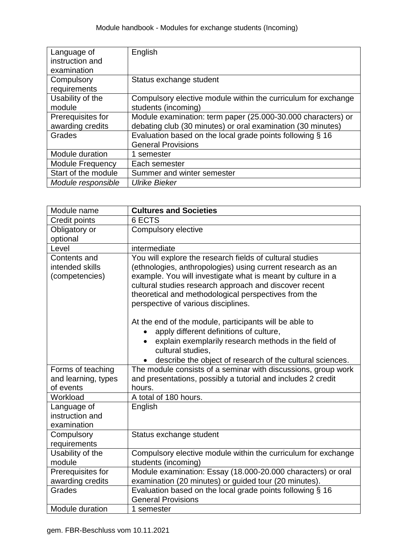| Language of             | English                                                       |
|-------------------------|---------------------------------------------------------------|
| instruction and         |                                                               |
| examination             |                                                               |
| Compulsory              | Status exchange student                                       |
| requirements            |                                                               |
| Usability of the        | Compulsory elective module within the curriculum for exchange |
| module                  | students (incoming)                                           |
| Prerequisites for       | Module examination: term paper (25.000-30.000 characters) or  |
| awarding credits        | debating club (30 minutes) or oral examination (30 minutes)   |
| Grades                  | Evaluation based on the local grade points following § 16     |
|                         | <b>General Provisions</b>                                     |
| Module duration         | 1 semester                                                    |
| <b>Module Frequency</b> | Each semester                                                 |
| Start of the module     | Summer and winter semester                                    |
| Module responsible      | <b>Ulrike Bieker</b>                                          |

| Module name                                       | <b>Cultures and Societies</b>                                                                                                                                                                                                                                                                                                                                                                                                                                                                                                                 |
|---------------------------------------------------|-----------------------------------------------------------------------------------------------------------------------------------------------------------------------------------------------------------------------------------------------------------------------------------------------------------------------------------------------------------------------------------------------------------------------------------------------------------------------------------------------------------------------------------------------|
| Credit points                                     | 6 ECTS                                                                                                                                                                                                                                                                                                                                                                                                                                                                                                                                        |
| Obligatory or                                     | Compulsory elective                                                                                                                                                                                                                                                                                                                                                                                                                                                                                                                           |
| optional                                          |                                                                                                                                                                                                                                                                                                                                                                                                                                                                                                                                               |
| Level                                             | intermediate                                                                                                                                                                                                                                                                                                                                                                                                                                                                                                                                  |
| Contents and<br>intended skills<br>(competencies) | You will explore the research fields of cultural studies<br>(ethnologies, anthropologies) using current research as an<br>example. You will investigate what is meant by culture in a<br>cultural studies research approach and discover recent<br>theoretical and methodological perspectives from the<br>perspective of various disciplines.<br>At the end of the module, participants will be able to<br>apply different definitions of culture,<br>explain exemplarily research methods in the field of<br>$\bullet$<br>cultural studies. |
| Forms of teaching                                 | describe the object of research of the cultural sciences.<br>The module consists of a seminar with discussions, group work                                                                                                                                                                                                                                                                                                                                                                                                                    |
| and learning, types                               | and presentations, possibly a tutorial and includes 2 credit                                                                                                                                                                                                                                                                                                                                                                                                                                                                                  |
| of events                                         | hours.                                                                                                                                                                                                                                                                                                                                                                                                                                                                                                                                        |
| Workload                                          | A total of 180 hours.                                                                                                                                                                                                                                                                                                                                                                                                                                                                                                                         |
| Language of<br>instruction and<br>examination     | English                                                                                                                                                                                                                                                                                                                                                                                                                                                                                                                                       |
| Compulsory<br>requirements                        | Status exchange student                                                                                                                                                                                                                                                                                                                                                                                                                                                                                                                       |
| Usability of the                                  | Compulsory elective module within the curriculum for exchange                                                                                                                                                                                                                                                                                                                                                                                                                                                                                 |
| module                                            | students (incoming)                                                                                                                                                                                                                                                                                                                                                                                                                                                                                                                           |
| Prerequisites for                                 | Module examination: Essay (18.000-20.000 characters) or oral                                                                                                                                                                                                                                                                                                                                                                                                                                                                                  |
| awarding credits                                  | examination (20 minutes) or guided tour (20 minutes).                                                                                                                                                                                                                                                                                                                                                                                                                                                                                         |
| Grades                                            | Evaluation based on the local grade points following § 16<br><b>General Provisions</b>                                                                                                                                                                                                                                                                                                                                                                                                                                                        |
| Module duration                                   | 1 semester                                                                                                                                                                                                                                                                                                                                                                                                                                                                                                                                    |